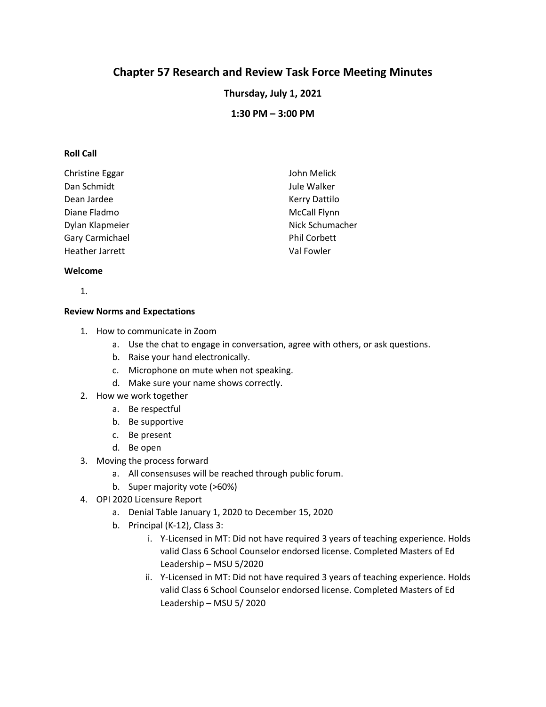# **Chapter 57 Research and Review Task Force Meeting Minutes**

**Thursday, July 1, 2021**

**1:30 PM – 3:00 PM**

# **Roll Call**

| Christine Eggar | John Melick          |
|-----------------|----------------------|
| Dan Schmidt     | Jule Walker          |
| Dean Jardee     | <b>Kerry Dattilo</b> |
| Diane Fladmo    | <b>McCall Flynn</b>  |
| Dylan Klapmeier | Nick Schumacher      |
| Gary Carmichael | <b>Phil Corbett</b>  |
| Heather Jarrett | Val Fowler           |

## **Welcome**

1.

#### **Review Norms and Expectations**

- 1. How to communicate in Zoom
	- a. Use the chat to engage in conversation, agree with others, or ask questions.
	- b. Raise your hand electronically.
	- c. Microphone on mute when not speaking.
	- d. Make sure your name shows correctly.
- 2. How we work together
	- a. Be respectful
	- b. Be supportive
	- c. Be present
	- d. Be open
- 3. Moving the process forward
	- a. All consensuses will be reached through public forum.
	- b. Super majority vote (>60%)
- 4. OPI 2020 Licensure Report
	- a. Denial Table January 1, 2020 to December 15, 2020
	- b. Principal (K-12), Class 3:
		- i. Y-Licensed in MT: Did not have required 3 years of teaching experience. Holds valid Class 6 School Counselor endorsed license. Completed Masters of Ed Leadership – MSU 5/2020
		- ii. Y-Licensed in MT: Did not have required 3 years of teaching experience. Holds valid Class 6 School Counselor endorsed license. Completed Masters of Ed Leadership – MSU 5/ 2020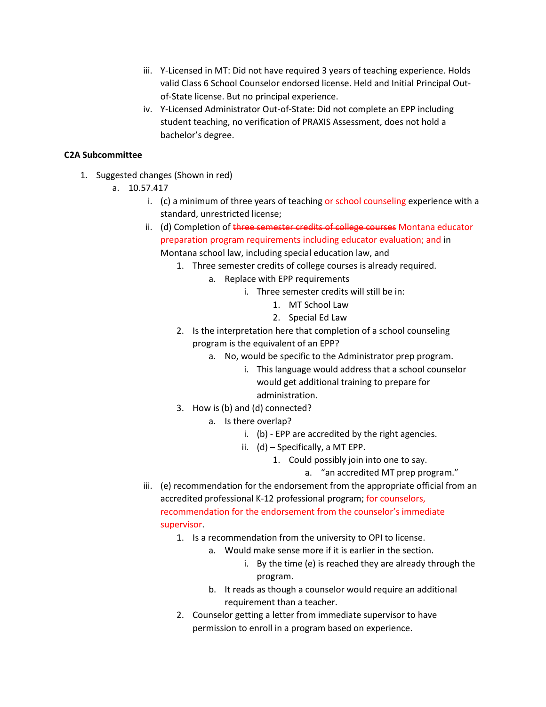- iii. Y-Licensed in MT: Did not have required 3 years of teaching experience. Holds valid Class 6 School Counselor endorsed license. Held and Initial Principal Outof-State license. But no principal experience.
- iv. Y-Licensed Administrator Out-of-State: Did not complete an EPP including student teaching, no verification of PRAXIS Assessment, does not hold a bachelor's degree.

# **C2A Subcommittee**

- 1. Suggested changes (Shown in red)
	- a. 10.57.417
		- i. (c) a minimum of three years of teaching or school counseling experience with a standard, unrestricted license;
		- ii. (d) Completion of three semester credits of college courses Montana educator preparation program requirements including educator evaluation; and in Montana school law, including special education law, and
			- 1. Three semester credits of college courses is already required.
				- a. Replace with EPP requirements
					- i. Three semester credits will still be in:
						- 1. MT School Law
						- 2. Special Ed Law
			- 2. Is the interpretation here that completion of a school counseling program is the equivalent of an EPP?
				- a. No, would be specific to the Administrator prep program.
					- i. This language would address that a school counselor would get additional training to prepare for administration.
			- 3. How is (b) and (d) connected?
				- a. Is there overlap?
					- i. (b) EPP are accredited by the right agencies.
					- ii. (d) Specifically, a MT EPP.
						- 1. Could possibly join into one to say.
							- a. "an accredited MT prep program."
		- iii. (e) recommendation for the endorsement from the appropriate official from an accredited professional K-12 professional program; for counselors, recommendation for the endorsement from the counselor's immediate supervisor.
			- 1. Is a recommendation from the university to OPI to license.
				- a. Would make sense more if it is earlier in the section.
					- i. By the time (e) is reached they are already through the program.
				- b. It reads as though a counselor would require an additional requirement than a teacher.
			- 2. Counselor getting a letter from immediate supervisor to have permission to enroll in a program based on experience.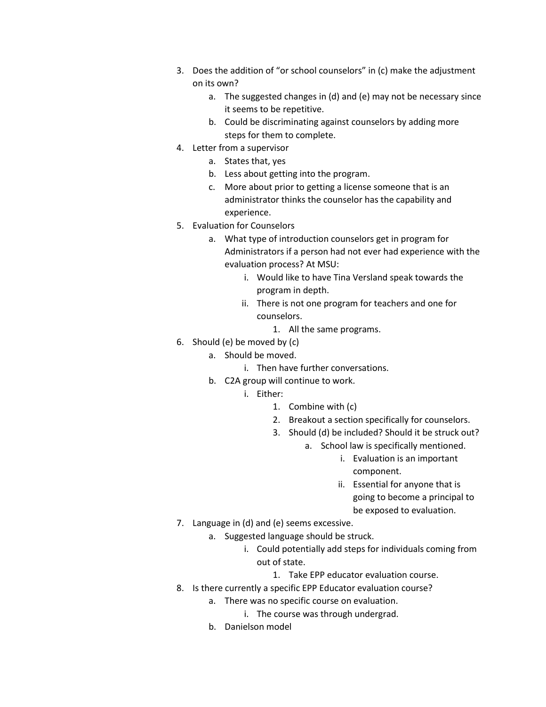- 3. Does the addition of "or school counselors" in (c) make the adjustment on its own?
	- a. The suggested changes in (d) and (e) may not be necessary since it seems to be repetitive.
	- b. Could be discriminating against counselors by adding more steps for them to complete.
- 4. Letter from a supervisor
	- a. States that, yes
	- b. Less about getting into the program.
	- c. More about prior to getting a license someone that is an administrator thinks the counselor has the capability and experience.
- 5. Evaluation for Counselors
	- a. What type of introduction counselors get in program for Administrators if a person had not ever had experience with the evaluation process? At MSU:
		- i. Would like to have Tina Versland speak towards the program in depth.
		- ii. There is not one program for teachers and one for counselors.
			- 1. All the same programs.
- 6. Should (e) be moved by (c)
	- a. Should be moved.
		- i. Then have further conversations.
	- b. C2A group will continue to work.
		- i. Either:
			- 1. Combine with (c)
			- 2. Breakout a section specifically for counselors.
			- 3. Should (d) be included? Should it be struck out?
				- a. School law is specifically mentioned.
					- i. Evaluation is an important component.
					- ii. Essential for anyone that is going to become a principal to be exposed to evaluation.
- 7. Language in (d) and (e) seems excessive.
	- a. Suggested language should be struck.
		- i. Could potentially add steps for individuals coming from out of state.
			- 1. Take EPP educator evaluation course.
- 8. Is there currently a specific EPP Educator evaluation course?
	- a. There was no specific course on evaluation.
		- i. The course was through undergrad.
		- b. Danielson model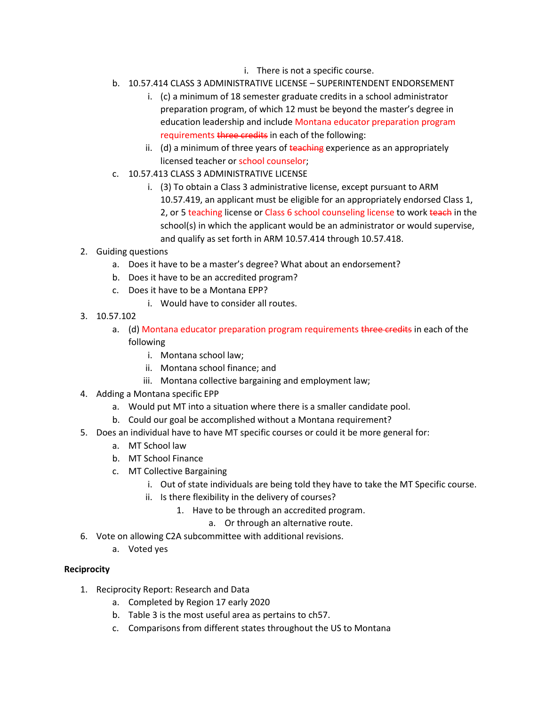- i. There is not a specific course.
- b. 10.57.414 CLASS 3 ADMINISTRATIVE LICENSE SUPERINTENDENT ENDORSEMENT
	- i. (c) a minimum of 18 semester graduate credits in a school administrator preparation program, of which 12 must be beyond the master's degree in education leadership and include Montana educator preparation program requirements three credits in each of the following:
	- ii. (d) a minimum of three years of  $\frac{1}{2}$  experience as an appropriately licensed teacher or school counselor;
- c. 10.57.413 CLASS 3 ADMINISTRATIVE LICENSE
	- i. (3) To obtain a Class 3 administrative license, except pursuant to ARM 10.57.419, an applicant must be eligible for an appropriately endorsed Class 1, 2, or 5 teaching license or Class 6 school counseling license to work teach in the school(s) in which the applicant would be an administrator or would supervise, and qualify as set forth in ARM 10.57.414 through 10.57.418.
- 2. Guiding questions
	- a. Does it have to be a master's degree? What about an endorsement?
	- b. Does it have to be an accredited program?
	- c. Does it have to be a Montana EPP?
		- i. Would have to consider all routes.
- 3. 10.57.102
	- a. (d) Montana educator preparation program requirements three credits in each of the following
		- i. Montana school law;
		- ii. Montana school finance; and
		- iii. Montana collective bargaining and employment law;
- 4. Adding a Montana specific EPP
	- a. Would put MT into a situation where there is a smaller candidate pool.
	- b. Could our goal be accomplished without a Montana requirement?
- 5. Does an individual have to have MT specific courses or could it be more general for:
	- a. MT School law
	- b. MT School Finance
	- c. MT Collective Bargaining
		- i. Out of state individuals are being told they have to take the MT Specific course.
			- ii. Is there flexibility in the delivery of courses?
				- 1. Have to be through an accredited program.
					- a. Or through an alternative route.
- 6. Vote on allowing C2A subcommittee with additional revisions.
	- a. Voted yes

# **Reciprocity**

- 1. Reciprocity Report: Research and Data
	- a. Completed by Region 17 early 2020
	- b. Table 3 is the most useful area as pertains to ch57.
	- c. Comparisons from different states throughout the US to Montana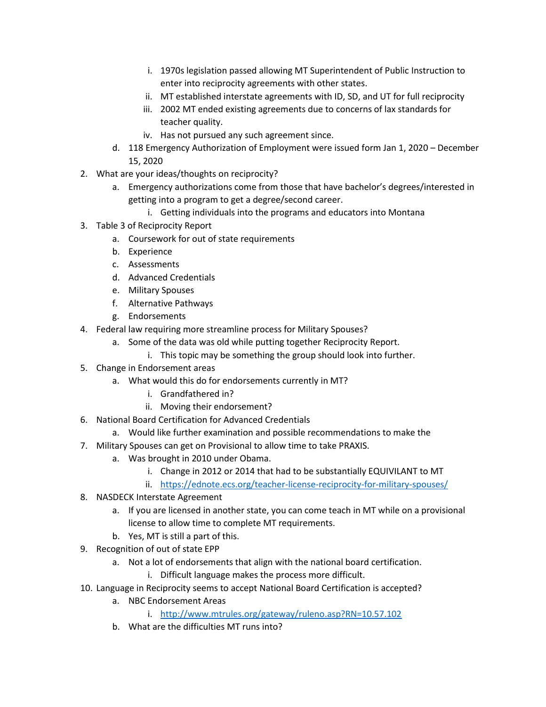- i. 1970s legislation passed allowing MT Superintendent of Public Instruction to enter into reciprocity agreements with other states.
- ii. MT established interstate agreements with ID, SD, and UT for full reciprocity
- iii. 2002 MT ended existing agreements due to concerns of lax standards for teacher quality.
- iv. Has not pursued any such agreement since.
- d. 118 Emergency Authorization of Employment were issued form Jan 1, 2020 December 15, 2020
- 2. What are your ideas/thoughts on reciprocity?
	- a. Emergency authorizations come from those that have bachelor's degrees/interested in getting into a program to get a degree/second career.
		- i. Getting individuals into the programs and educators into Montana
- 3. Table 3 of Reciprocity Report
	- a. Coursework for out of state requirements
	- b. Experience
	- c. Assessments
	- d. Advanced Credentials
	- e. Military Spouses
	- f. Alternative Pathways
	- g. Endorsements
- 4. Federal law requiring more streamline process for Military Spouses?
	- a. Some of the data was old while putting together Reciprocity Report.
		- i. This topic may be something the group should look into further.
- 5. Change in Endorsement areas
	- a. What would this do for endorsements currently in MT?
		- i. Grandfathered in?
		- ii. Moving their endorsement?
- 6. National Board Certification for Advanced Credentials
	- a. Would like further examination and possible recommendations to make the
- 7. Military Spouses can get on Provisional to allow time to take PRAXIS.
	- a. Was brought in 2010 under Obama.
		- i. Change in 2012 or 2014 that had to be substantially EQUIVILANT to MT
		- ii. <https://ednote.ecs.org/teacher-license-reciprocity-for-military-spouses/>
- 8. NASDECK Interstate Agreement
	- a. If you are licensed in another state, you can come teach in MT while on a provisional license to allow time to complete MT requirements.
	- b. Yes, MT is still a part of this.
- 9. Recognition of out of state EPP
	- a. Not a lot of endorsements that align with the national board certification.
		- i. Difficult language makes the process more difficult.
- 10. Language in Reciprocity seems to accept National Board Certification is accepted?
	- a. NBC Endorsement Areas
		- i. <http://www.mtrules.org/gateway/ruleno.asp?RN=10.57.102>
		- b. What are the difficulties MT runs into?